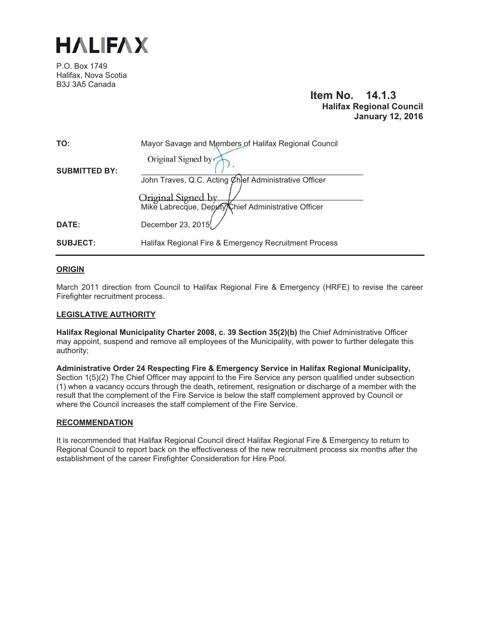

P.O. Box 1749 Halifax, Nova Scotia B3J 3A5 Canada

# **Item No. 14.1.3 Halifax Regional Council January 12, 2016**

| TO:                  | Mayor Savage and Members of Halifax Regional Council<br>Original Signed by                                                         |
|----------------------|------------------------------------------------------------------------------------------------------------------------------------|
| <b>SUBMITTED BY:</b> | John Traves, Q.C. Acting Chief Administrative Officer<br>Original Signed by<br>Mike Labrecque, Deputy/Chief Administrative Officer |
| <b>DATE:</b>         | December 23, 2015                                                                                                                  |
| <b>SUBJECT:</b>      | Halifax Regional Fire & Emergency Recruitment Process                                                                              |

# **ORIGIN**

March 2011 direction from Council to Halifax Regional Fire & Emergency (HRFE) to revise the career Firefighter recruitment process.

#### **LEGISLATIVE AUTHORITY**

**Halifax Regional Municipality Charter 2008, c. 39 Section 35(2)(b)** the Chief Administrative Officer may appoint, suspend and remove all employees of the Municipality, with power to further delegate this authority;

**Administrative Order 24 Respecting Fire & Emergency Service in Halifax Regional Municipality,** Section 1(5)(2) The Chief Officer may appoint to the Fire Service any person qualified under subsection (1) when a vacancy occurs through the death, retirement, resignation or discharge of a member with the result that the complement of the Fire Service is below the staff complement approved by Council or where the Council increases the staff complement of the Fire Service.

#### **RECOMMENDATION**

It is recommended that Halifax Regional Council direct Halifax Regional Fire & Emergency to return to Regional Council to report back on the effectiveness of the new recruitment process six months after the establishment of the career Firefighter Consideration for Hire Pool.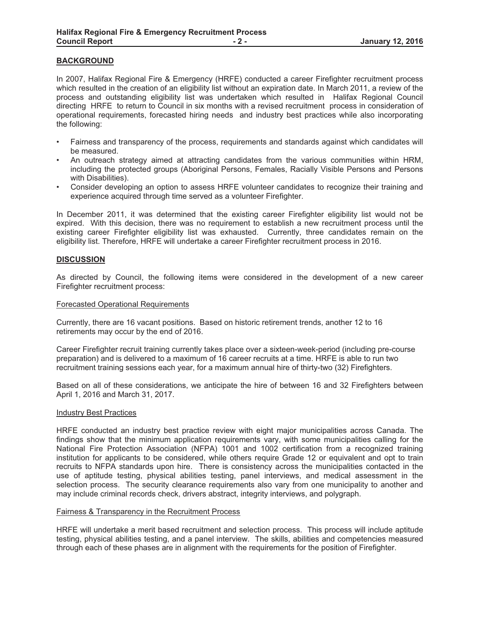# **BACKGROUND**

In 2007, Halifax Regional Fire & Emergency (HRFE) conducted a career Firefighter recruitment process which resulted in the creation of an eligibility list without an expiration date. In March 2011, a review of the process and outstanding eligibility list was undertaken which resulted in Halifax Regional Council directing HRFE to return to Council in six months with a revised recruitment process in consideration of operational requirements, forecasted hiring needs and industry best practices while also incorporating the following:

- Fairness and transparency of the process, requirements and standards against which candidates will be measured.
- An outreach strategy aimed at attracting candidates from the various communities within HRM, including the protected groups (Aboriginal Persons, Females, Racially Visible Persons and Persons with Disabilities).
- Consider developing an option to assess HRFE volunteer candidates to recognize their training and experience acquired through time served as a volunteer Firefighter.

In December 2011, it was determined that the existing career Firefighter eligibility list would not be expired. With this decision, there was no requirement to establish a new recruitment process until the existing career Firefighter eligibility list was exhausted. Currently, three candidates remain on the eligibility list. Therefore, HRFE will undertake a career Firefighter recruitment process in 2016.

#### **DISCUSSION**

As directed by Council, the following items were considered in the development of a new career Firefighter recruitment process:

#### Forecasted Operational Requirements

Currently, there are 16 vacant positions. Based on historic retirement trends, another 12 to 16 retirements may occur by the end of 2016.

Career Firefighter recruit training currently takes place over a sixteen-week-period (including pre-course preparation) and is delivered to a maximum of 16 career recruits at a time. HRFE is able to run two recruitment training sessions each year, for a maximum annual hire of thirty-two (32) Firefighters.

Based on all of these considerations, we anticipate the hire of between 16 and 32 Firefighters between April 1, 2016 and March 31, 2017.

#### Industry Best Practices

HRFE conducted an industry best practice review with eight major municipalities across Canada. The findings show that the minimum application requirements vary, with some municipalities calling for the National Fire Protection Association (NFPA) 1001 and 1002 certification from a recognized training institution for applicants to be considered, while others require Grade 12 or equivalent and opt to train recruits to NFPA standards upon hire. There is consistency across the municipalities contacted in the use of aptitude testing, physical abilities testing, panel interviews, and medical assessment in the selection process. The security clearance requirements also vary from one municipality to another and may include criminal records check, drivers abstract, integrity interviews, and polygraph.

#### Fairness & Transparency in the Recruitment Process

HRFE will undertake a merit based recruitment and selection process. This process will include aptitude testing, physical abilities testing, and a panel interview. The skills, abilities and competencies measured through each of these phases are in alignment with the requirements for the position of Firefighter.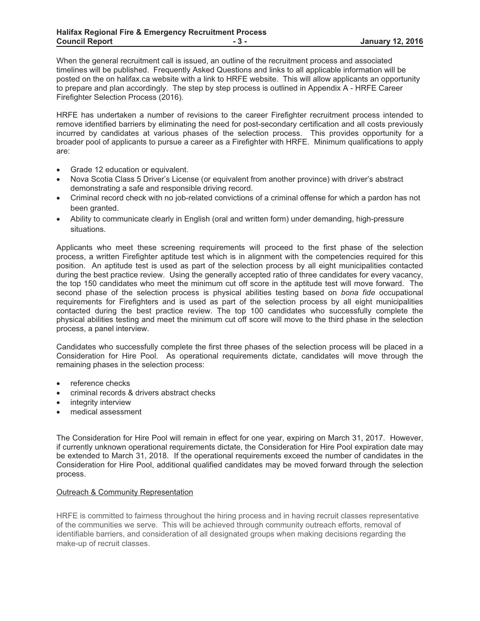When the general recruitment call is issued, an outline of the recruitment process and associated timelines will be published. Frequently Asked Questions and links to all applicable information will be posted on the on halifax.ca website with a link to HRFE website. This will allow applicants an opportunity to prepare and plan accordingly. The step by step process is outlined in Appendix A - HRFE Career Firefighter Selection Process (2016).

HRFE has undertaken a number of revisions to the career Firefighter recruitment process intended to remove identified barriers by eliminating the need for post-secondary certification and all costs previously incurred by candidates at various phases of the selection process. This provides opportunity for a broader pool of applicants to pursue a career as a Firefighter with HRFE. Minimum qualifications to apply are:

- -Grade 12 education or equivalent.
- - Nova Scotia Class 5 Driver's License (or equivalent from another province) with driver's abstract demonstrating a safe and responsible driving record.
- Criminal record check with no job-related convictions of a criminal offense for which a pardon has not been granted.
- - Ability to communicate clearly in English (oral and written form) under demanding, high-pressure situations.

Applicants who meet these screening requirements will proceed to the first phase of the selection process, a written Firefighter aptitude test which is in alignment with the competencies required for this position. An aptitude test is used as part of the selection process by all eight municipalities contacted during the best practice review. Using the generally accepted ratio of three candidates for every vacancy, the top 150 candidates who meet the minimum cut off score in the aptitude test will move forward. The second phase of the selection process is physical abilities testing based on *bona fide* occupational requirements for Firefighters and is used as part of the selection process by all eight municipalities contacted during the best practice review. The top 100 candidates who successfully complete the physical abilities testing and meet the minimum cut off score will move to the third phase in the selection process, a panel interview.

Candidates who successfully complete the first three phases of the selection process will be placed in a Consideration for Hire Pool. As operational requirements dictate, candidates will move through the remaining phases in the selection process:

- reference checks
- criminal records & drivers abstract checks
- $\bullet$ integrity interview
- medical assessment

The Consideration for Hire Pool will remain in effect for one year, expiring on March 31, 2017. However, if currently unknown operational requirements dictate, the Consideration for Hire Pool expiration date may be extended to March 31, 2018. If the operational requirements exceed the number of candidates in the Consideration for Hire Pool, additional qualified candidates may be moved forward through the selection process.

# Outreach & Community Representation

HRFE is committed to fairness throughout the hiring process and in having recruit classes representative of the communities we serve. This will be achieved through community outreach efforts, removal of identifiable barriers, and consideration of all designated groups when making decisions regarding the make-up of recruit classes.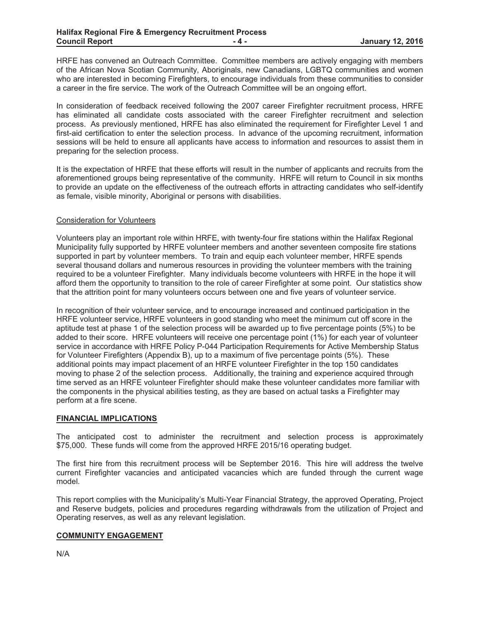HRFE has convened an Outreach Committee. Committee members are actively engaging with members of the African Nova Scotian Community, Aboriginals, new Canadians, LGBTQ communities and women who are interested in becoming Firefighters, to encourage individuals from these communities to consider a career in the fire service. The work of the Outreach Committee will be an ongoing effort.

In consideration of feedback received following the 2007 career Firefighter recruitment process, HRFE has eliminated all candidate costs associated with the career Firefighter recruitment and selection process. As previously mentioned, HRFE has also eliminated the requirement for Firefighter Level 1 and first-aid certification to enter the selection process. In advance of the upcoming recruitment, information sessions will be held to ensure all applicants have access to information and resources to assist them in preparing for the selection process.

It is the expectation of HRFE that these efforts will result in the number of applicants and recruits from the aforementioned groups being representative of the community. HRFE will return to Council in six months to provide an update on the effectiveness of the outreach efforts in attracting candidates who self-identify as female, visible minority, Aboriginal or persons with disabilities.

#### Consideration for Volunteers

Volunteers play an important role within HRFE, with twenty-four fire stations within the Halifax Regional Municipality fully supported by HRFE volunteer members and another seventeen composite fire stations supported in part by volunteer members. To train and equip each volunteer member, HRFE spends several thousand dollars and numerous resources in providing the volunteer members with the training required to be a volunteer Firefighter. Many individuals become volunteers with HRFE in the hope it will afford them the opportunity to transition to the role of career Firefighter at some point. Our statistics show that the attrition point for many volunteers occurs between one and five years of volunteer service.

In recognition of their volunteer service, and to encourage increased and continued participation in the HRFE volunteer service, HRFE volunteers in good standing who meet the minimum cut off score in the aptitude test at phase 1 of the selection process will be awarded up to five percentage points (5%) to be added to their score. HRFE volunteers will receive one percentage point (1%) for each year of volunteer service in accordance with HRFE Policy P-044 Participation Requirements for Active Membership Status for Volunteer Firefighters (Appendix B), up to a maximum of five percentage points (5%). These additional points may impact placement of an HRFE volunteer Firefighter in the top 150 candidates moving to phase 2 of the selection process. Additionally, the training and experience acquired through time served as an HRFE volunteer Firefighter should make these volunteer candidates more familiar with the components in the physical abilities testing, as they are based on actual tasks a Firefighter may perform at a fire scene.

#### **FINANCIAL IMPLICATIONS**

The anticipated cost to administer the recruitment and selection process is approximately \$75,000. These funds will come from the approved HRFE 2015/16 operating budget.

The first hire from this recruitment process will be September 2016. This hire will address the twelve current Firefighter vacancies and anticipated vacancies which are funded through the current wage model.

This report complies with the Municipality's Multi-Year Financial Strategy, the approved Operating, Project and Reserve budgets, policies and procedures regarding withdrawals from the utilization of Project and Operating reserves, as well as any relevant legislation.

#### **COMMUNITY ENGAGEMENT**

N/A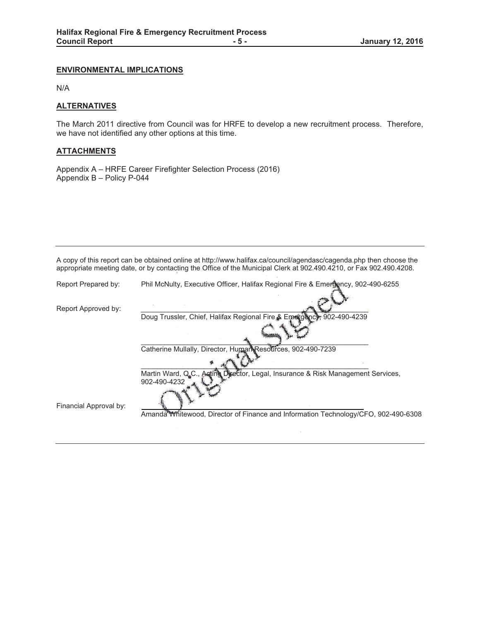# **ENVIRONMENTAL IMPLICATIONS**

N/A

#### **ALTERNATIVES**

The March 2011 directive from Council was for HRFE to develop a new recruitment process. Therefore, we have not identified any other options at this time.

# **ATTACHMENTS**

Appendix A – HRFE Career Firefighter Selection Process (2016) Appendix B – Policy P-044

A copy of this report can be obtained online at http://www.halifax.ca/council/agendasc/cagenda.php then choose the appropriate meeting date, or by contacting the Office of the Municipal Clerk at 902.490.4210, or Fax 902.490.4208.

| Report Prepared by:    | Phil McNulty, Executive Officer, Halifax Regional Fire & Emergency, 902-490-6255                 |  |  |
|------------------------|--------------------------------------------------------------------------------------------------|--|--|
| Report Approved by:    |                                                                                                  |  |  |
|                        | Doug Trussler, Chief, Halifax Regional Fire & Emergency; 902-490-4239                            |  |  |
|                        |                                                                                                  |  |  |
|                        | Catherine Mullally, Director, Human Resources, 902-490-7239                                      |  |  |
|                        |                                                                                                  |  |  |
|                        | Martin Ward, Q.C., Acting Director, Legal, Insurance & Risk Management Services,<br>902-490-4232 |  |  |
| Financial Approval by: |                                                                                                  |  |  |
|                        | Amanda Whitewood, Director of Finance and Information Technology/CFO, 902-490-6308               |  |  |
|                        |                                                                                                  |  |  |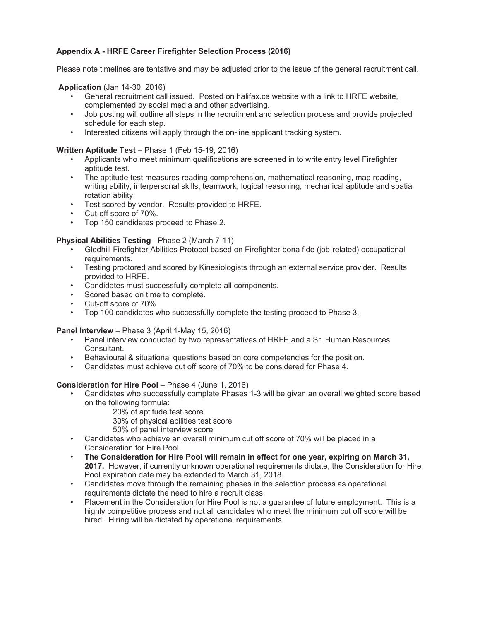# **Appendix A - HRFE Career Firefighter Selection Process (2016)**

# Please note timelines are tentative and may be adjusted prior to the issue of the general recruitment call.

# **Application** (Jan 14-30, 2016)

- General recruitment call issued. Posted on halifax.ca website with a link to HRFE website, complemented by social media and other advertising.
- Job posting will outline all steps in the recruitment and selection process and provide projected schedule for each step.
- Interested citizens will apply through the on-line applicant tracking system.

#### **Written Aptitude Test** – Phase 1 (Feb 15-19, 2016)

- Applicants who meet minimum qualifications are screened in to write entry level Firefighter aptitude test.
- The aptitude test measures reading comprehension, mathematical reasoning, map reading, writing ability, interpersonal skills, teamwork, logical reasoning, mechanical aptitude and spatial rotation ability.
- Test scored by vendor. Results provided to HRFE.
- Cut-off score of 70%.
- Top 150 candidates proceed to Phase 2.

# **Physical Abilities Testing** - Phase 2 (March 7-11)

- Gledhill Firefighter Abilities Protocol based on Firefighter bona fide (job-related) occupational requirements.
- Testing proctored and scored by Kinesiologists through an external service provider. Results provided to HRFE.
- Candidates must successfully complete all components.
- Scored based on time to complete.
- Cut-off score of 70%
- Top 100 candidates who successfully complete the testing proceed to Phase 3.

#### **Panel Interview** – Phase 3 (April 1-May 15, 2016)

- Panel interview conducted by two representatives of HRFE and a Sr. Human Resources Consultant.
- Behavioural & situational questions based on core competencies for the position.
- Candidates must achieve cut off score of 70% to be considered for Phase 4.

#### **Consideration for Hire Pool – Phase 4 (June 1, 2016)**

- Candidates who successfully complete Phases 1-3 will be given an overall weighted score based on the following formula:
	- 20% of aptitude test score
	- 30% of physical abilities test score
	- 50% of panel interview score
- Candidates who achieve an overall minimum cut off score of 70% will be placed in a Consideration for Hire Pool.
- **The Consideration for Hire Pool will remain in effect for one year, expiring on March 31, 2017.** However, if currently unknown operational requirements dictate, the Consideration for Hire Pool expiration date may be extended to March 31, 2018.
- Candidates move through the remaining phases in the selection process as operational requirements dictate the need to hire a recruit class.
- Placement in the Consideration for Hire Pool is not a guarantee of future employment. This is a highly competitive process and not all candidates who meet the minimum cut off score will be hired. Hiring will be dictated by operational requirements.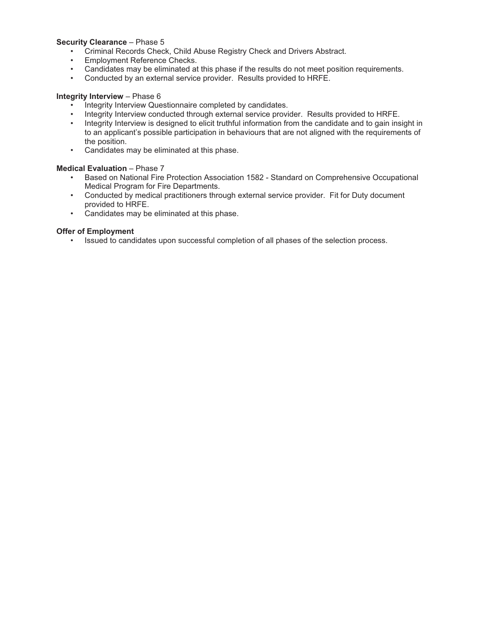#### **Security Clearance** – Phase 5

- Criminal Records Check, Child Abuse Registry Check and Drivers Abstract.
- Employment Reference Checks.<br>• Candidates may be eliminated at
- Candidates may be eliminated at this phase if the results do not meet position requirements.
- Conducted by an external service provider. Results provided to HRFE.

#### **Integrity Interview** – Phase 6

- Integrity Interview Questionnaire completed by candidates.
- Integrity Interview conducted through external service provider. Results provided to HRFE.
- Integrity Interview is designed to elicit truthful information from the candidate and to gain insight in to an applicant's possible participation in behaviours that are not aligned with the requirements of the position.
- Candidates may be eliminated at this phase.

# **Medical Evaluation** – Phase 7

- Based on National Fire Protection Association 1582 Standard on Comprehensive Occupational Medical Program for Fire Departments.
- Conducted by medical practitioners through external service provider. Fit for Duty document provided to HRFE.
- Candidates may be eliminated at this phase.

# **Offer of Employment**

• Issued to candidates upon successful completion of all phases of the selection process.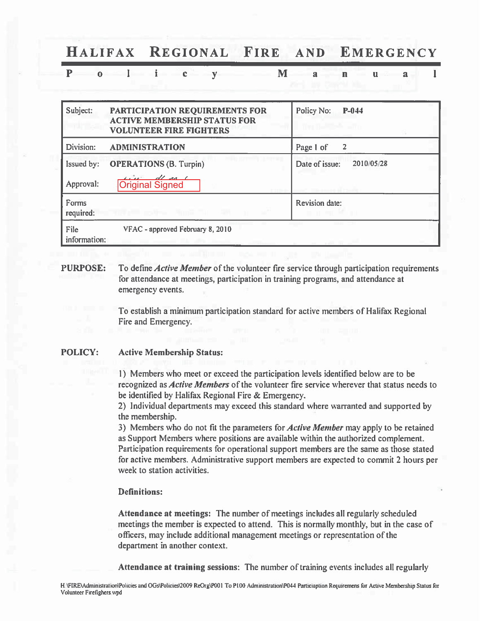#### HALIFAX REGIONAL FIRE **AND** EMERGENCY

#### $P \t 0 \t 1 \t i$  $\mathbf{c}$  $V$ M L  $\mathbf{a}$ n u.  $\overline{\mathbf{a}}$

| Subject:                | PARTICIPATION REQUIREMENTS FOR<br><b>ACTIVE MEMBERSHIP STATUS FOR</b><br><b>VOLUNTEER FIRE FIGHTERS</b> | Policy No:<br>$P-044$<br>The California and |
|-------------------------|---------------------------------------------------------------------------------------------------------|---------------------------------------------|
| Division:               | <b>ADMINISTRATION</b>                                                                                   | Page 1 of<br>2                              |
| Issued by:<br>Approval: | <b>OPERATIONS (B. Turpin)</b><br>$dl$ as $l$<br><b>Original Signed</b>                                  | 2010/05/28<br>Date of issue:                |
| Forms<br>required:      | $\sim 10^{-7}$<br><b>Fallen and Support Street, Security Street, Security</b>                           | <b>Revision date:</b>                       |
| File<br>information:    | VFAC - approved February 8, 2010                                                                        | and supply the an-                          |

#### **PURPOSE:** To define *Active Member* of the volunteer fire service through participation requirements for attendance at meetings, participation in training programs, and attendance at emergency events.

To establish a minimum participation standard for active members of Halifax Regional Fire and Emergency.

#### **POLICY: Active Membership Status:**

1) Members who meet or exceed the participation levels identified below are to be recognized as *Active Members* of the volunteer fire service wherever that status needs to be identified by Halifax Regional Fire & Emergency.

2) Individual departments may exceed this standard where warranted and supported by the membership.

3) Members who do not fit the parameters for *Active Member* may apply to be retained as Support Members where positions are available within the authorized complement. Participation requirements for operational support members are the same as those stated for active members. Administrative support members are expected to commit 2 hours per week to station activities.

# **Definitions:**

Attendance at meetings: The number of meetings includes all regularly scheduled meetings the member is expected to attend. This is normally monthly, but in the case of officers, may include additional management meetings or representation of the department in another context.

Attendance at training sessions: The number of training events includes all regularly